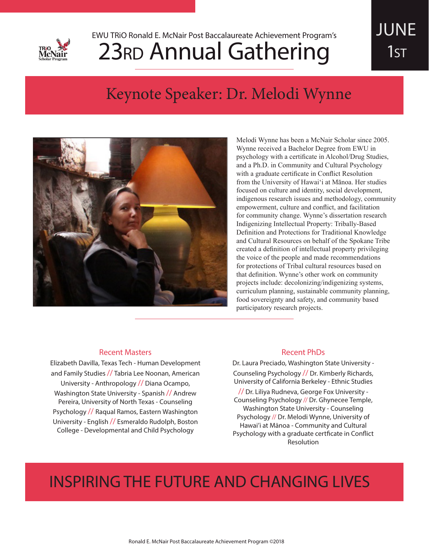

## 23<sub>RD</sub> Annual Gathering EWU TRiO Ronald E. McNair Post Baccalaureate Achievement Program's

# JUNE 1st

## Keynote Speaker: Dr. Melodi Wynne



Melodi Wynne has been a McNair Scholar since 2005. Wynne received a Bachelor Degree from EWU in psychology with a certificate in Alcohol/Drug Studies, and a Ph.D. in Community and Cultural Psychology with a graduate certificate in Conflict Resolution from the University of Hawai'i at Mānoa. Her studies focused on culture and identity, social development, indigenous research issues and methodology, community empowerment, culture and conflict, and facilitation for community change. Wynne's dissertation research Indigenizing Intellectual Property: Tribally-Based Definition and Protections for Traditional Knowledge and Cultural Resources on behalf of the Spokane Tribe created a definition of intellectual property privileging the voice of the people and made recommendations for protections of Tribal cultural resources based on that definition. Wynne's other work on community projects include: decolonizing/indigenizing systems, curriculum planning, sustainable community planning, food sovereignty and safety, and community based participatory research projects.

### Recent Masters

Elizabeth Davilla, Texas Tech - Human Development and Family Studies // Tabria Lee Noonan, American University - Anthropology // Diana Ocampo, Washington State University - Spanish // Andrew Pereira, University of North Texas - Counseling Psychology // Raqual Ramos, Eastern Washington University - English // Esmeraldo Rudolph, Boston College - Developmental and Child Psychology

### Recent PhDs

Dr. Laura Preciado, Washington State University - Counseling Psychology // Dr. Kimberly Richards, University of California Berkeley - Ethnic Studies

// Dr. Liliya Rudneva, George Fox University - Counseling Psychology // Dr. Ghynecee Temple, Washington State University - Counseling Psychology // Dr. Melodi Wynne, University of Hawai'i at Mānoa - Community and Cultural Psychology with a graduate certficate in Conflict Resolution

## INSPIRING THE FUTURE AND CHANGING LIVES